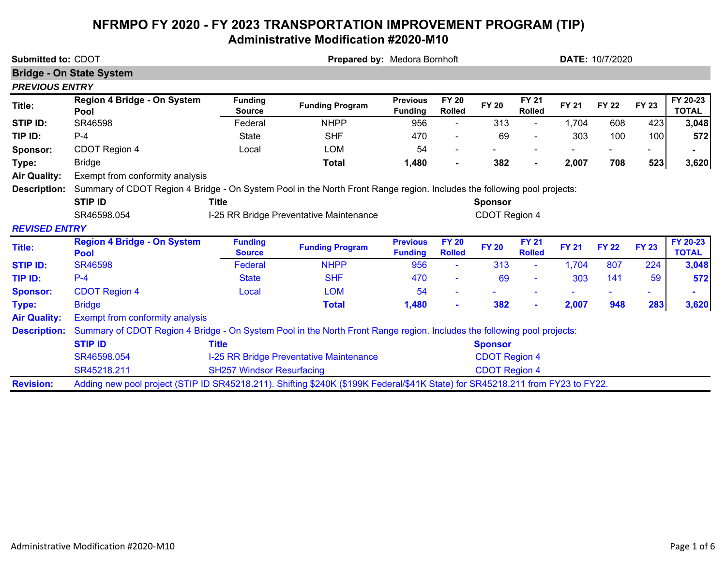## **NFRMPO FY 2020 - FY 2023 TRANSPORTATION IMPROVEMENT PROGRAM (TIP) Administrative Modification #2020-M10**

| <b>Submitted to: CDOT</b> |                                                                                                                                | Prepared by: Medora Bornhoft     |                                         |                                   |                               |                      |                               | <b>DATE: 10/7/2020</b> |              |              |                          |
|---------------------------|--------------------------------------------------------------------------------------------------------------------------------|----------------------------------|-----------------------------------------|-----------------------------------|-------------------------------|----------------------|-------------------------------|------------------------|--------------|--------------|--------------------------|
|                           | <b>Bridge - On State System</b>                                                                                                |                                  |                                         |                                   |                               |                      |                               |                        |              |              |                          |
| <b>PREVIOUS ENTRY</b>     |                                                                                                                                |                                  |                                         |                                   |                               |                      |                               |                        |              |              |                          |
| Title:                    | Region 4 Bridge - On System<br>Pool                                                                                            | <b>Funding</b><br><b>Source</b>  | <b>Funding Program</b>                  | <b>Previous</b><br><b>Funding</b> | <b>FY 20</b><br><b>Rolled</b> | <b>FY 20</b>         | <b>FY 21</b><br><b>Rolled</b> | <b>FY 21</b>           | <b>FY 22</b> | <b>FY 23</b> | FY 20-23<br><b>TOTAL</b> |
| STIP ID:                  | SR46598                                                                                                                        | Federal                          | <b>NHPP</b>                             | 956                               |                               | 313                  |                               | 1,704                  | 608          | 423          | 3,048                    |
| TIP ID:                   | $P-4$                                                                                                                          | <b>State</b>                     | <b>SHF</b>                              | 470                               |                               | 69                   |                               | 303                    | 100          | 100          | 572                      |
| Sponsor:                  | CDOT Region 4                                                                                                                  | Local                            | <b>LOM</b>                              | 54                                |                               |                      |                               |                        |              |              |                          |
| Type:                     | <b>Bridge</b>                                                                                                                  |                                  | <b>Total</b>                            | 1,480                             |                               | 382                  |                               | 2,007                  | 708          | 523          | 3,620                    |
| <b>Air Quality:</b>       | Exempt from conformity analysis                                                                                                |                                  |                                         |                                   |                               |                      |                               |                        |              |              |                          |
| <b>Description:</b>       | Summary of CDOT Region 4 Bridge - On System Pool in the North Front Range region. Includes the following pool projects:        |                                  |                                         |                                   |                               |                      |                               |                        |              |              |                          |
|                           | <b>STIP ID</b>                                                                                                                 | <b>Title</b>                     |                                         |                                   |                               | <b>Sponsor</b>       |                               |                        |              |              |                          |
|                           | SR46598.054                                                                                                                    |                                  | I-25 RR Bridge Preventative Maintenance |                                   |                               | CDOT Region 4        |                               |                        |              |              |                          |
| <b>REVISED ENTRY</b>      |                                                                                                                                |                                  |                                         |                                   |                               |                      |                               |                        |              |              |                          |
| <b>Title:</b>             | <b>Region 4 Bridge - On System</b><br><b>Pool</b>                                                                              | <b>Funding</b><br><b>Source</b>  | <b>Funding Program</b>                  | <b>Previous</b><br><b>Funding</b> | <b>FY 20</b><br><b>Rolled</b> | <b>FY 20</b>         | <b>FY 21</b><br><b>Rolled</b> | <b>FY 21</b>           | <b>FY 22</b> | <b>FY 23</b> | FY 20-23<br><b>TOTAL</b> |
| <b>STIP ID:</b>           | <b>SR46598</b>                                                                                                                 | Federal                          | <b>NHPP</b>                             | 956                               |                               | 313                  | $\blacksquare$                | 1,704                  | 807          | 224          | 3,048                    |
| TIP ID:                   | $P - 4$                                                                                                                        | <b>State</b>                     | <b>SHF</b>                              | 470                               |                               | 69                   |                               | 303                    | 141          | 59           | 572                      |
| <b>Sponsor:</b>           | <b>CDOT Region 4</b>                                                                                                           | Local                            | <b>LOM</b>                              | 54                                |                               |                      |                               |                        |              |              |                          |
| Type:                     | <b>Bridge</b>                                                                                                                  |                                  | <b>Total</b>                            | 1,480                             |                               | 382                  | $\blacksquare$                | 2,007                  | 948          | 283          | 3,620                    |
| <b>Air Quality:</b>       | Exempt from conformity analysis                                                                                                |                                  |                                         |                                   |                               |                      |                               |                        |              |              |                          |
| <b>Description:</b>       | Summary of CDOT Region 4 Bridge - On System Pool in the North Front Range region. Includes the following pool projects:        |                                  |                                         |                                   |                               |                      |                               |                        |              |              |                          |
|                           | <b>STIP ID</b>                                                                                                                 | <b>Title</b>                     |                                         |                                   |                               | <b>Sponsor</b>       |                               |                        |              |              |                          |
|                           | SR46598.054                                                                                                                    |                                  | I-25 RR Bridge Preventative Maintenance |                                   |                               | <b>CDOT Region 4</b> |                               |                        |              |              |                          |
|                           | SR45218.211                                                                                                                    | <b>SH257 Windsor Resurfacing</b> |                                         |                                   |                               | <b>CDOT Region 4</b> |                               |                        |              |              |                          |
| <b>Revision:</b>          | Adding new pool project (STIP ID SR45218.211). Shifting \$240K (\$199K Federal/\$41K State) for SR45218.211 from FY23 to FY22. |                                  |                                         |                                   |                               |                      |                               |                        |              |              |                          |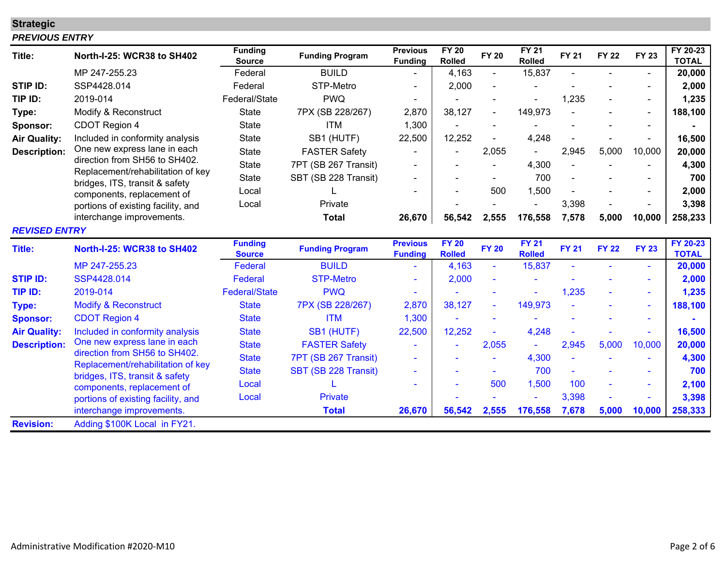# **Strategic**

#### *PREVIOUS ENTRY*

| Title:               | <b>North-I-25: WCR38 to SH402</b>                                   | <b>Funding</b><br><b>Source</b> | <b>Funding Program</b> | <b>Previous</b><br><b>Funding</b> | <b>FY 20</b><br><b>Rolled</b> | <b>FY 20</b> | <b>FY 21</b><br><b>Rolled</b> | <b>FY 21</b> | <b>FY 22</b> | <b>FY 23</b>   | FY 20-23<br><b>TOTAL</b> |
|----------------------|---------------------------------------------------------------------|---------------------------------|------------------------|-----------------------------------|-------------------------------|--------------|-------------------------------|--------------|--------------|----------------|--------------------------|
|                      | MP 247-255.23                                                       | Federal                         | <b>BUILD</b>           |                                   | 4,163                         |              | 15,837                        |              |              |                | 20,000                   |
| <b>STIP ID:</b>      | SSP4428.014                                                         | Federal                         | STP-Metro              |                                   | 2,000                         |              |                               |              |              |                | 2,000                    |
| TIP ID:              | 2019-014                                                            | Federal/State                   | <b>PWQ</b>             |                                   |                               |              |                               | 1,235        |              |                | 1,235                    |
| Type:                | Modify & Reconstruct                                                | <b>State</b>                    | 7PX (SB 228/267)       | 2,870                             | 38,127                        |              | 149,973                       |              |              | $\blacksquare$ | 188,100                  |
| Sponsor:             | CDOT Region 4                                                       | <b>State</b>                    | <b>ITM</b>             | 1,300                             |                               |              |                               |              |              |                |                          |
| <b>Air Quality:</b>  | Included in conformity analysis                                     | <b>State</b>                    | SB1 (HUTF)             | 22,500                            | 12,252                        |              | 4,248                         |              |              |                | 16,500                   |
| <b>Description:</b>  | One new express lane in each                                        | <b>State</b>                    | <b>FASTER Safety</b>   |                                   |                               | 2,055        |                               | 2,945        | 5,000        | 10,000         | 20,000                   |
|                      | direction from SH56 to SH402.                                       | <b>State</b>                    | 7PT (SB 267 Transit)   |                                   |                               |              | 4,300                         |              |              |                | 4,300                    |
|                      | Replacement/rehabilitation of key<br>bridges, ITS, transit & safety | <b>State</b>                    | SBT (SB 228 Transit)   |                                   |                               |              | 700                           |              |              |                | 700                      |
|                      | components, replacement of                                          | Local                           |                        |                                   |                               | 500          | 1,500                         |              |              | $\blacksquare$ | 2,000                    |
|                      | portions of existing facility, and                                  | Local                           | Private                |                                   |                               |              |                               | 3,398        |              |                | 3,398                    |
|                      | interchange improvements.                                           |                                 | <b>Total</b>           | 26,670                            | 56,542                        | 2,555        | 176,558                       | 7,578        | 5,000        | 10,000         | 258,233                  |
| <b>REVISED ENTRY</b> |                                                                     |                                 |                        |                                   |                               |              |                               |              |              |                |                          |
| <b>Title:</b>        | <b>North-I-25: WCR38 to SH402</b>                                   | <b>Funding</b><br><b>Source</b> | <b>Funding Program</b> | <b>Previous</b><br><b>Funding</b> | <b>FY 20</b><br><b>Rolled</b> | <b>FY 20</b> | <b>FY 21</b><br><b>Rolled</b> | <b>FY 21</b> | <b>FY 22</b> | <b>FY 23</b>   | FY 20-23<br><b>TOTAL</b> |
|                      | MP 247-255.23                                                       | Federal                         | <b>BUILD</b>           |                                   | 4,163                         |              | 15,837                        |              |              |                | 20,000                   |
| <b>STIP ID:</b>      | SSP4428.014                                                         | Federal                         | <b>STP-Metro</b>       | $\mathbf{r}$                      | 2,000                         |              |                               |              |              | ÷,             | 2,000                    |
| TIP ID:              | 2019-014                                                            | <b>Federal/State</b>            | <b>PWQ</b>             | $\sim$                            |                               |              |                               | 1,235        |              | $\mathbf{r}$   | 1,235                    |
| <b>Type:</b>         | <b>Modify &amp; Reconstruct</b>                                     | <b>State</b>                    | 7PX (SB 228/267)       | 2,870                             | 38,127                        |              | 149,973                       |              |              | $\blacksquare$ | 188,100                  |
| <b>Sponsor:</b>      | <b>CDOT Region 4</b>                                                | <b>State</b>                    | <b>ITM</b>             | 1,300                             |                               |              |                               |              |              |                |                          |
| <b>Air Quality:</b>  | Included in conformity analysis                                     | <b>State</b>                    | SB1 (HUTF)             | 22,500                            | 12,252                        |              | 4,248                         |              |              | $\blacksquare$ | 16,500                   |
| <b>Description:</b>  | One new express lane in each                                        | <b>State</b>                    | <b>FASTER Safety</b>   | $\equiv$                          |                               | 2,055        | ÷                             | 2,945        | 5,000        | 10,000         | 20,000                   |
|                      | direction from SH56 to SH402.                                       | <b>State</b>                    | 7PT (SB 267 Transit)   |                                   |                               |              | 4,300                         |              |              |                | 4,300                    |
|                      | Replacement/rehabilitation of key<br>bridges, ITS, transit & safety | <b>State</b>                    | SBT (SB 228 Transit)   | ٠                                 |                               |              | 700                           |              |              | $\blacksquare$ | 700                      |
|                      | components, replacement of                                          | Local                           |                        |                                   |                               | 500          | 1,500                         | 100          |              | $\blacksquare$ | 2,100                    |
|                      | portions of existing facility, and                                  | Local                           | <b>Private</b>         |                                   |                               |              |                               | 3,398        |              | $\blacksquare$ | 3,398                    |
|                      | interchange improvements.                                           |                                 | <b>Total</b>           | 26,670                            | 56,542                        | 2,555        | 176,558                       | 7,678        | 5,000        | 10,000         | 258,333                  |
| <b>Revision:</b>     | Adding \$100K Local in FY21.                                        |                                 |                        |                                   |                               |              |                               |              |              |                |                          |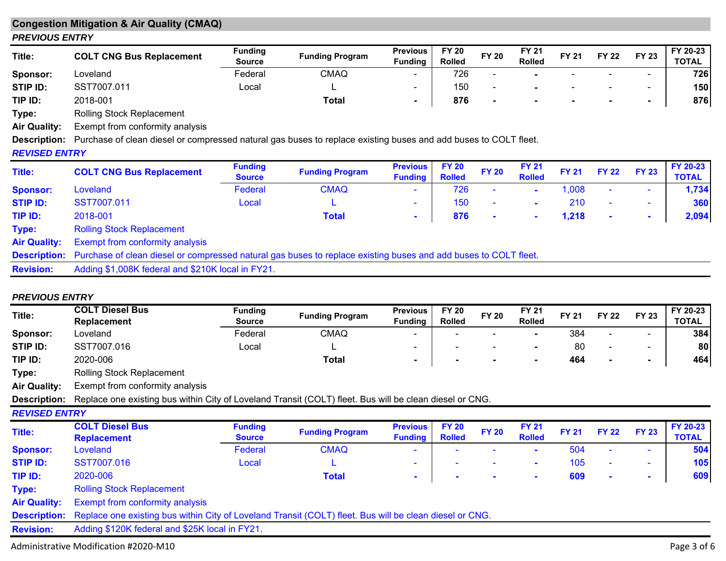### **Congestion Mitigation & Air Quality (CMAQ)** *PREVIOUS ENTRY*

| Title:   | <b>COLT CNG Bus Replacement</b> | <b>Funding</b><br><b>Source</b> | <b>Funding Program</b> | <b>Previous</b><br><b>Funding</b> | <b>FY 20</b><br><b>Rolled</b> | <b>FY 20</b> | FY 21<br><b>Rolled</b> | <b>FY 21</b> | <b>FY 22</b> | <b>FY 23</b>             | FY 20-23<br><b>TOTAL</b> |
|----------|---------------------------------|---------------------------------|------------------------|-----------------------------------|-------------------------------|--------------|------------------------|--------------|--------------|--------------------------|--------------------------|
| Sponsor: | Loveland                        | Federal                         | CMAQ                   | $\overline{\phantom{0}}$          | 726                           |              |                        |              |              | $\overline{\phantom{0}}$ | 726                      |
| STIP ID: | SST7007.011                     | Local                           |                        | -                                 | 150                           |              |                        |              |              | $\overline{\phantom{0}}$ | 150                      |
| TIP ID:  | 2018-001                        |                                 | Total                  |                                   | 876                           |              |                        |              |              | $\sim$                   | 876                      |

**Type:** Rolling Stock Replacement

**Air Quality:** Exempt from conformity analysis

**Description:** Purchase of clean diesel or compressed natural gas buses to replace existing buses and add buses to COLT fleet.

### *REVISED ENTRY*

| Title:              | <b>COLT CNG Bus Replacement</b>                                                                                              | <b>Funding</b><br><b>Source</b> | <b>Funding Program</b> | <b>Previous</b><br><b>Funding</b> | <b>FY 20</b><br><b>Rolled</b> | <b>FY 20</b> | <b>FY 21</b><br><b>Rolled</b> | <b>FY 21</b> | <b>FY 22</b>   | <b>FY 23</b> | FY 20-23<br><b>TOTAL</b> |
|---------------------|------------------------------------------------------------------------------------------------------------------------------|---------------------------------|------------------------|-----------------------------------|-------------------------------|--------------|-------------------------------|--------------|----------------|--------------|--------------------------|
| <b>Sponsor:</b>     | Loveland                                                                                                                     | Federal                         | <b>CMAQ</b>            | $\sim$                            | 726                           | $\sim$       | $\blacksquare$                | 1,008        | $\sim$         | $\sim$       | 1,734                    |
| <b>STIP ID:</b>     | SST7007.011                                                                                                                  | Local                           |                        | $\sim$                            | 150                           | ۰.           | $\mathbf{r}$                  | 210          | $\blacksquare$ |              | 360                      |
| TIP ID:             | 2018-001                                                                                                                     |                                 | <b>Total</b>           | $\mathbf{r}$                      | 876                           | <b>COL</b>   | $\overline{\phantom{a}}$      | 1,218        | $\sim$         | $\sim$       | 2,094                    |
| Type:               | <b>Rolling Stock Replacement</b>                                                                                             |                                 |                        |                                   |                               |              |                               |              |                |              |                          |
| <b>Air Quality:</b> | <b>Exempt from conformity analysis</b>                                                                                       |                                 |                        |                                   |                               |              |                               |              |                |              |                          |
|                     | Description: Purchase of clean diesel or compressed natural gas buses to replace existing buses and add buses to COLT fleet. |                                 |                        |                                   |                               |              |                               |              |                |              |                          |
| <b>Revision:</b>    | Adding \$1,008K federal and \$210K local in FY21.                                                                            |                                 |                        |                                   |                               |              |                               |              |                |              |                          |

### *PREVIOUS ENTRY*

| Title:               | <b>COLT Diesel Bus</b>                                                                                  | <b>Funding</b> |                        | <b>Previous</b> | <b>FY 20</b>  | <b>FY 20</b>   | <b>FY 21</b>   | <b>FY 21</b> |                | <b>FY 23</b>             | FY 20-23     |
|----------------------|---------------------------------------------------------------------------------------------------------|----------------|------------------------|-----------------|---------------|----------------|----------------|--------------|----------------|--------------------------|--------------|
|                      | <b>Replacement</b>                                                                                      | <b>Source</b>  | <b>Funding Program</b> | <b>Funding</b>  | <b>Rolled</b> |                | <b>Rolled</b>  |              | <b>FY 22</b>   |                          | <b>TOTAL</b> |
| Sponsor:             | Loveland                                                                                                | Federal        | <b>CMAQ</b>            |                 |               |                |                | 384          |                |                          | 384          |
| STIP ID:             | SST7007.016                                                                                             | Local          |                        | $\blacksquare$  |               |                | $\blacksquare$ | 80           |                | $\blacksquare$           | 80           |
| TIP ID:              | 2020-006                                                                                                |                | <b>Total</b>           | $\blacksquare$  |               | $\blacksquare$ | $\blacksquare$ | 464          | $\blacksquare$ | $\sim$                   | 464          |
| Type:                | Rolling Stock Replacement                                                                               |                |                        |                 |               |                |                |              |                |                          |              |
| <b>Air Quality:</b>  | Exempt from conformity analysis                                                                         |                |                        |                 |               |                |                |              |                |                          |              |
| <b>Description:</b>  | Replace one existing bus within City of Loveland Transit (COLT) fleet. Bus will be clean diesel or CNG. |                |                        |                 |               |                |                |              |                |                          |              |
| <b>REVISED ENTRY</b> |                                                                                                         |                |                        |                 |               |                |                |              |                |                          |              |
| Title:               | <b>COLT Diesel Bus</b>                                                                                  | <b>Funding</b> | <b>Funding Program</b> | <b>Previous</b> | <b>FY 20</b>  | <b>FY 20</b>   | <b>FY 21</b>   | <b>FY 21</b> | <b>FY 22</b>   | <b>FY 23</b>             | FY 20-23     |
|                      | <b>Replacement</b>                                                                                      | <b>Source</b>  |                        | <b>Funding</b>  | <b>Rolled</b> |                | <b>Rolled</b>  |              |                |                          | <b>TOTAL</b> |
| <b>Sponsor:</b>      | Loveland                                                                                                | Federal        | <b>CMAQ</b>            |                 |               |                | $\sim$         | 504          |                |                          | 504          |
| <b>STIP ID:</b>      | SST7007.016                                                                                             | Local          | ட                      | ۰               |               |                | $\sim$         | 105          |                | $\overline{\phantom{a}}$ | 105          |
| TIP ID:              | 2020-006                                                                                                |                | <b>Total</b>           | $\blacksquare$  |               |                | $\sim$         | 609          | $\sim$         | $\sim$                   | 609          |
| Type:                | <b>Rolling Stock Replacement</b>                                                                        |                |                        |                 |               |                |                |              |                |                          |              |
| <b>Air Quality:</b>  | Exempt from conformity analysis                                                                         |                |                        |                 |               |                |                |              |                |                          |              |
| <b>Description:</b>  | Replace one existing bus within City of Loveland Transit (COLT) fleet. Bus will be clean diesel or CNG. |                |                        |                 |               |                |                |              |                |                          |              |
| <b>Revision:</b>     | Adding \$120K federal and \$25K local in FY21.                                                          |                |                        |                 |               |                |                |              |                |                          |              |

Administrative Modification #2020‐M10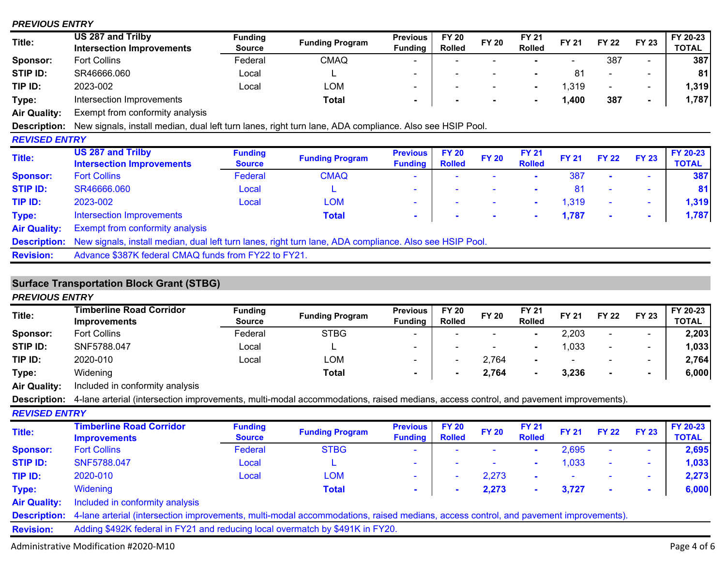### *PREVIOUS ENTRY*

| Title:               | US 287 and Trilby<br><b>Intersection Improvements</b>                                                   | <b>Funding</b><br><b>Source</b> | <b>Funding Program</b> | <b>Previous</b><br><b>Funding</b> | <b>FY 20</b><br><b>Rolled</b> | <b>FY 20</b>   | <b>FY 21</b><br><b>Rolled</b> | <b>FY 21</b> | <b>FY 22</b>   | <b>FY 23</b>             | FY 20-23<br><b>TOTAL</b> |
|----------------------|---------------------------------------------------------------------------------------------------------|---------------------------------|------------------------|-----------------------------------|-------------------------------|----------------|-------------------------------|--------------|----------------|--------------------------|--------------------------|
| <b>Sponsor:</b>      | <b>Fort Collins</b>                                                                                     | Federal                         | <b>CMAQ</b>            |                                   |                               |                |                               |              | 387            | $\blacksquare$           | 387                      |
| STIP ID:             | SR46666.060                                                                                             | Local                           |                        | $\blacksquare$                    |                               |                |                               | 81           | $\blacksquare$ | $\overline{\phantom{0}}$ | 81                       |
| TIP ID:              | 2023-002                                                                                                | Local                           | <b>LOM</b>             | ٠                                 |                               | $\blacksquare$ | ۰.                            | 1,319        | ۰              | $\sim$                   | 1,319                    |
| Type:                | Intersection Improvements                                                                               |                                 | Total                  | $\blacksquare$                    |                               |                | $\blacksquare$                | 1,400        | 387            | $\sim$                   | 1,787                    |
| Air Quality:         | Exempt from conformity analysis                                                                         |                                 |                        |                                   |                               |                |                               |              |                |                          |                          |
| <b>Description:</b>  | New signals, install median, dual left turn lanes, right turn lane, ADA compliance. Also see HSIP Pool. |                                 |                        |                                   |                               |                |                               |              |                |                          |                          |
| <b>REVISED ENTRY</b> |                                                                                                         |                                 |                        |                                   |                               |                |                               |              |                |                          |                          |
| Title:               | <b>US 287 and Trilby</b><br><b>Intersection Improvements</b>                                            | <b>Funding</b><br><b>Source</b> | <b>Funding Program</b> | <b>Previous</b><br><b>Funding</b> | <b>FY 20</b><br><b>Rolled</b> | <b>FY 20</b>   | <b>FY 21</b><br><b>Rolled</b> | <b>FY 21</b> | <b>FY 22</b>   | <b>FY 23</b>             | FY 20-23<br><b>TOTAL</b> |
| <b>Sponsor:</b>      | <b>Fort Collins</b>                                                                                     | Federal                         | <b>CMAQ</b>            |                                   |                               |                |                               | 387          |                |                          | 387                      |
| <b>STIP ID:</b>      | SR46666.060                                                                                             | Local                           |                        |                                   |                               |                |                               | 81           |                |                          | 81                       |
| TIP ID:              | 2023-002                                                                                                | Local                           | <b>LOM</b>             |                                   |                               |                | $\sim$                        | 1,319        | ٠              | ۰.                       | 1,319                    |
| Type:                | Intersection Improvements                                                                               |                                 | Total                  | $\blacksquare$                    | $\blacksquare$                | $\blacksquare$ | $\sim$                        | 1,787        |                | $\sim$                   | 1,787                    |
| <b>Air Quality:</b>  | <b>Exempt from conformity analysis</b>                                                                  |                                 |                        |                                   |                               |                |                               |              |                |                          |                          |
| <b>Description:</b>  | New signals, install median, dual left turn lanes, right turn lane, ADA compliance. Also see HSIP Pool. |                                 |                        |                                   |                               |                |                               |              |                |                          |                          |
| <b>Revision:</b>     | Advance \$387K federal CMAQ funds from FY22 to FY21.                                                    |                                 |                        |                                   |                               |                |                               |              |                |                          |                          |
|                      |                                                                                                         |                                 |                        |                                   |                               |                |                               |              |                |                          |                          |

# **Surface Transportation Block Grant (STBG)**

| <b>PREVIOUS ENTRY</b> |                                                                                                                                     |                                 |                        |                                   |                               |              |                               |              |                |                |                          |
|-----------------------|-------------------------------------------------------------------------------------------------------------------------------------|---------------------------------|------------------------|-----------------------------------|-------------------------------|--------------|-------------------------------|--------------|----------------|----------------|--------------------------|
| Title:                | <b>Timberline Road Corridor</b><br><b>Improvements</b>                                                                              | <b>Funding</b><br>Source        | <b>Funding Program</b> | <b>Previous</b><br><b>Funding</b> | <b>FY 20</b><br><b>Rolled</b> | <b>FY 20</b> | <b>FY 21</b><br><b>Rolled</b> | <b>FY 21</b> | <b>FY 22</b>   | <b>FY 23</b>   | FY 20-23<br><b>TOTAL</b> |
| Sponsor:              | <b>Fort Collins</b>                                                                                                                 | Federal                         | <b>STBG</b>            |                                   |                               |              | $\blacksquare$                | 2,203        |                |                | 2,203                    |
| STIP ID:              | SNF5788.047                                                                                                                         | Local                           |                        | $\overline{\phantom{0}}$          |                               |              |                               | 1,033        | $\blacksquare$ | $\blacksquare$ | 1,033                    |
| TIP ID:               | 2020-010                                                                                                                            | Local                           | <b>LOM</b>             | $\blacksquare$                    | ۰                             | 2,764        | ۰.                            |              |                | $\blacksquare$ | 2,764                    |
| Type:                 | Widening                                                                                                                            |                                 | Total                  | $\blacksquare$                    | ۰.                            | 2,764        | $\blacksquare$                | 3,236        | $\blacksquare$ | $\blacksquare$ | 6,000                    |
| <b>Air Quality:</b>   | Included in conformity analysis                                                                                                     |                                 |                        |                                   |                               |              |                               |              |                |                |                          |
| <b>Description:</b>   | 4-lane arterial (intersection improvements, multi-modal accommodations, raised medians, access control, and pavement improvements). |                                 |                        |                                   |                               |              |                               |              |                |                |                          |
| <b>REVISED ENTRY</b>  |                                                                                                                                     |                                 |                        |                                   |                               |              |                               |              |                |                |                          |
| Title:                | <b>Timberline Road Corridor</b><br><b>Improvements</b>                                                                              | <b>Funding</b><br><b>Source</b> | <b>Funding Program</b> | <b>Previous</b><br><b>Funding</b> | <b>FY 20</b><br><b>Rolled</b> | <b>FY 20</b> | <b>FY 21</b><br><b>Rolled</b> | <b>FY 21</b> | <b>FY 22</b>   | <b>FY 23</b>   | FY 20-23<br><b>TOTAL</b> |
| <b>Sponsor:</b>       | <b>Fort Collins</b>                                                                                                                 | Federal                         | <b>STBG</b>            |                                   |                               |              | $\mathbf{r}$                  | 2,695        |                | $\blacksquare$ | 2,695                    |
| <b>STIP ID:</b>       | SNF5788.047                                                                                                                         | Local                           |                        | $\sim$                            |                               |              |                               | 1,033        | $\sim$         | $\sim$         | 1,033                    |
| TIP ID:               | 2020-010                                                                                                                            | Local                           | <b>LOM</b>             | $\sim$                            |                               | 2,273        | $\sim$                        |              |                | $\blacksquare$ | 2,273                    |
| Type:                 | <b>Widening</b>                                                                                                                     |                                 | <b>Total</b>           | $\sim$                            |                               | 2,273        | $\mathbf{r}$                  | 3,727        | $\sim$         | $\blacksquare$ | 6,000                    |
| <b>Air Quality:</b>   | Included in conformity analysis                                                                                                     |                                 |                        |                                   |                               |              |                               |              |                |                |                          |
| <b>Description:</b>   | 4-lane arterial (intersection improvements, multi-modal accommodations, raised medians, access control, and pavement improvements). |                                 |                        |                                   |                               |              |                               |              |                |                |                          |
| <b>Revision:</b>      | Adding \$492K federal in FY21 and reducing local overmatch by \$491K in FY20.                                                       |                                 |                        |                                   |                               |              |                               |              |                |                |                          |

Administrative Modification #2020‐M10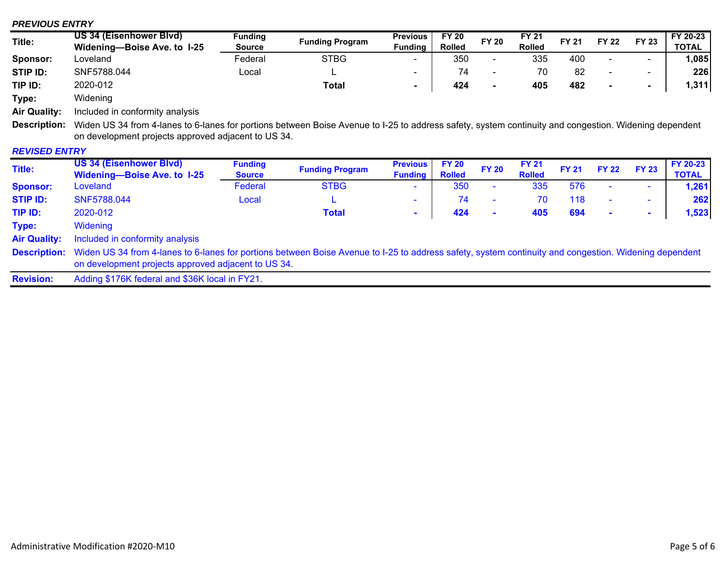### *PREVIOUS ENTRY*

| Title:   | <b>US 34 (Eisenhower Blvd)</b> |               | Funding                |                          | <b>Previous</b> | <b>FY 20</b>             |               | FY 21        |                          |              |              | FY 20-23 |
|----------|--------------------------------|---------------|------------------------|--------------------------|-----------------|--------------------------|---------------|--------------|--------------------------|--------------|--------------|----------|
|          | Widening-Boise Ave. to 1-25    | <b>Source</b> | <b>Funding Program</b> | <b>Fundina</b>           | <b>Rolled</b>   | <b>FY 20</b>             | <b>Rolled</b> | <b>FY 21</b> | <b>FY 22</b>             | <b>FY 23</b> | <b>TOTAL</b> |          |
| Sponsor: | Loveland                       | Federal       | <b>STBG</b>            | $\overline{\phantom{0}}$ | 350             | $\overline{\phantom{a}}$ | 335           | 400          | $\sim$                   | . .          | ,085         |          |
| STIP ID: | SNF5788.044                    | ∟ocal         | -                      |                          |                 | $\overline{\phantom{0}}$ |               | 82           | $\overline{\phantom{0}}$ | $\sim$       | 226          |          |
| TIP ID:  | 2020-012                       |               | <b>Total</b>           |                          | 424             |                          | 405           | 482          |                          | $\sim$       | 1,311        |          |
| Type:    | Widening                       |               |                        |                          |                 |                          |               |              |                          |              |              |          |

**Air Quality:** Included in conformity analysis

**Description:** Widen US 34 from 4-lanes to 6-lanes for portions between Boise Avenue to I-25 to address safety, system continuity and congestion. Widening dependent on development projects approved adjacent to US 34.

### *REVISED ENTRY*

| Title:              | <b>US 34 (Eisenhower Blvd)</b><br><b>Widening-Boise Ave. to I-25</b>                                                                                                                                         | <b>Funding</b><br><b>Source</b> | <b>Funding Program</b> | <b>Previous</b><br><b>Funding</b> | <b>FY 20</b><br><b>Rolled</b> | <b>FY 20</b>             | <b>FY 21</b><br><b>Rolled</b> | <b>FY 21</b> | <b>FY 22</b>   | <b>FY 23</b>             | FY 20-23<br>TOTAL |
|---------------------|--------------------------------------------------------------------------------------------------------------------------------------------------------------------------------------------------------------|---------------------------------|------------------------|-----------------------------------|-------------------------------|--------------------------|-------------------------------|--------------|----------------|--------------------------|-------------------|
| <b>Sponsor:</b>     | Loveland                                                                                                                                                                                                     | Federal                         | <b>STBG</b>            | $\sim$                            | 350                           | $\overline{\phantom{a}}$ | 335                           | 576          |                | $\overline{\phantom{0}}$ | 1,261             |
| <b>STIP ID:</b>     | SNF5788.044                                                                                                                                                                                                  | Local                           | ┕                      | . .                               | 74                            | $\sim$                   | 70                            | 118          | $\blacksquare$ | $\overline{\phantom{a}}$ | 262               |
| TIP ID:             | 2020-012                                                                                                                                                                                                     |                                 | <b>Total</b>           | $\mathbf{r}$                      | 424                           | $\mathbf{r}$             | 405                           | 694          | $\blacksquare$ | . .                      | 1,523             |
| Type:               | Widening                                                                                                                                                                                                     |                                 |                        |                                   |                               |                          |                               |              |                |                          |                   |
| <b>Air Quality:</b> | Included in conformity analysis                                                                                                                                                                              |                                 |                        |                                   |                               |                          |                               |              |                |                          |                   |
| <b>Description:</b> | Widen US 34 from 4-lanes to 6-lanes for portions between Boise Avenue to I-25 to address safety, system continuity and congestion. Widening dependent<br>on development projects approved adjacent to US 34. |                                 |                        |                                   |                               |                          |                               |              |                |                          |                   |
| <b>Revision:</b>    | Adding \$176K federal and \$36K local in FY21.                                                                                                                                                               |                                 |                        |                                   |                               |                          |                               |              |                |                          |                   |